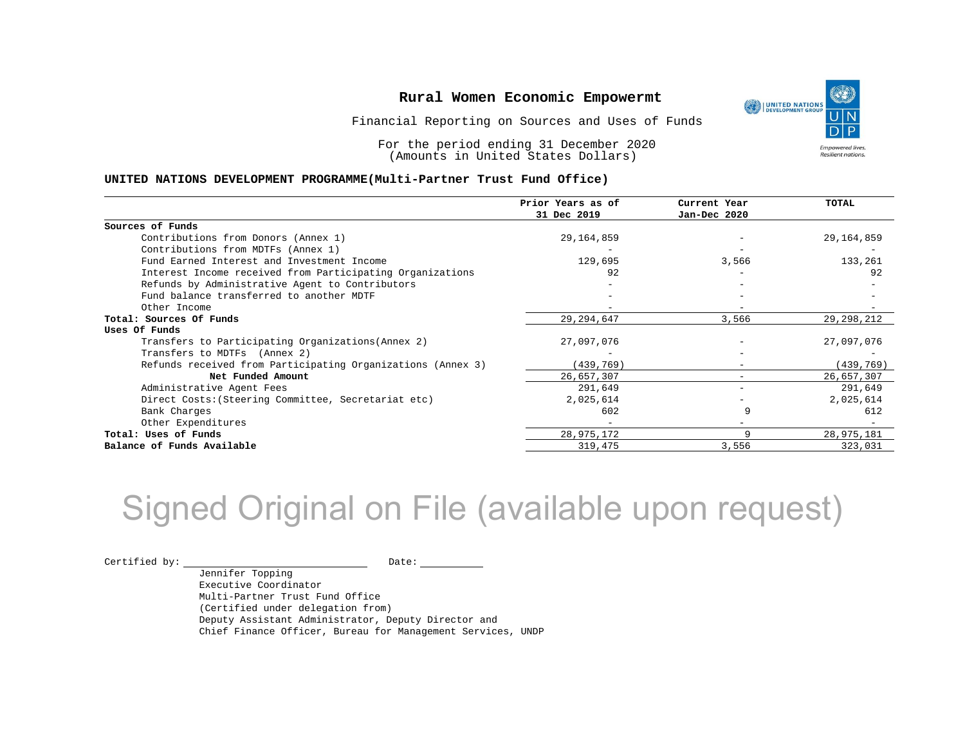Financial Reporting on Sources and Uses of Funds

For the period ending 31 December 2020 (Amounts in United States Dollars)

#### **UNITED NATIONS DEVELOPMENT PROGRAMME(Multi-Partner Trust Fund Office)**

|                                                             | Prior Years as of | Current Year | <b>TOTAL</b> |
|-------------------------------------------------------------|-------------------|--------------|--------------|
|                                                             | 31 Dec 2019       | Jan-Dec 2020 |              |
| Sources of Funds                                            |                   |              |              |
| Contributions from Donors (Annex 1)                         | 29,164,859        |              | 29,164,859   |
| Contributions from MDTFs (Annex 1)                          |                   |              |              |
| Fund Earned Interest and Investment Income                  | 129,695           | 3,566        | 133,261      |
| Interest Income received from Participating Organizations   | 92                |              | 92           |
| Refunds by Administrative Agent to Contributors             |                   |              |              |
| Fund balance transferred to another MDTF                    |                   |              |              |
| Other Income                                                |                   | $-$          |              |
| Total: Sources Of Funds                                     | 29, 294, 647      | 3,566        | 29, 298, 212 |
| Uses Of Funds                                               |                   |              |              |
| Transfers to Participating Organizations (Annex 2)          | 27,097,076        |              | 27,097,076   |
| Transfers to MDTFs (Annex 2)                                |                   |              |              |
| Refunds received from Participating Organizations (Annex 3) | (439,769)         | $-$          | (439, 769)   |
| Net Funded Amount                                           | 26,657,307        |              | 26,657,307   |
| Administrative Agent Fees                                   | 291,649           | $-$          | 291,649      |
| Direct Costs: (Steering Committee, Secretariat etc)         | 2,025,614         |              | 2,025,614    |
| Bank Charges                                                | 602               | 9            | 612          |
| Other Expenditures                                          |                   |              |              |
| Total: Uses of Funds                                        | 28,975,172        | 9            | 28,975,181   |
| Balance of Funds Available                                  | 319,475           | 3,556        | 323,031      |

## Signed Original on File (available upon request)

 $\begin{picture}(180,10) \put(0,0){\vector(1,0){100}} \put(15,0){\vector(1,0){100}} \put(15,0){\vector(1,0){100}} \put(15,0){\vector(1,0){100}} \put(15,0){\vector(1,0){100}} \put(15,0){\vector(1,0){100}} \put(15,0){\vector(1,0){100}} \put(15,0){\vector(1,0){100}} \put(15,0){\vector(1,0){100}} \put(15,0){\vector(1,0){100}} \put(15,0){\vector(1,0){100}}$ 

Jennifer Topping Executive Coordinator Multi-Partner Trust Fund Office (Certified under delegation from) Deputy Assistant Administrator, Deputy Director and Chief Finance Officer, Bureau for Management Services, UNDP

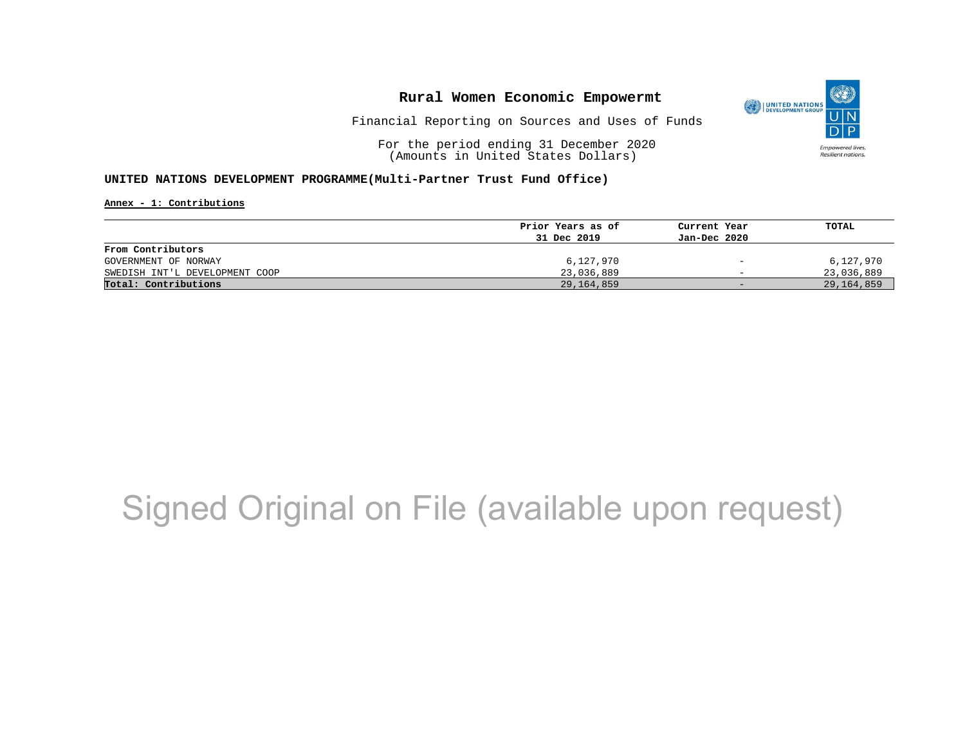

Financial Reporting on Sources and Uses of Funds

For the period ending 31 December 2020 (Amounts in United States Dollars)

#### **UNITED NATIONS DEVELOPMENT PROGRAMME(Multi-Partner Trust Fund Office)**

**Annex - 1: Contributions**

|                                | Prior Years as of | Current Year                 | TOTAL      |
|--------------------------------|-------------------|------------------------------|------------|
|                                | 31 Dec 2019       | Jan-Dec 2020                 |            |
| From Contributors              |                   |                              |            |
| GOVERNMENT OF NORWAY           | 6,127,970         | $\qquad \qquad \blacksquare$ | 6,127,970  |
| SWEDISH INT'L DEVELOPMENT COOP | 23,036,889        | $\overline{\phantom{0}}$     | 23,036,889 |
| Total: Contributions           | 29,164,859        | $-$                          | 29,164,859 |

## Signed Original on File (available upon request)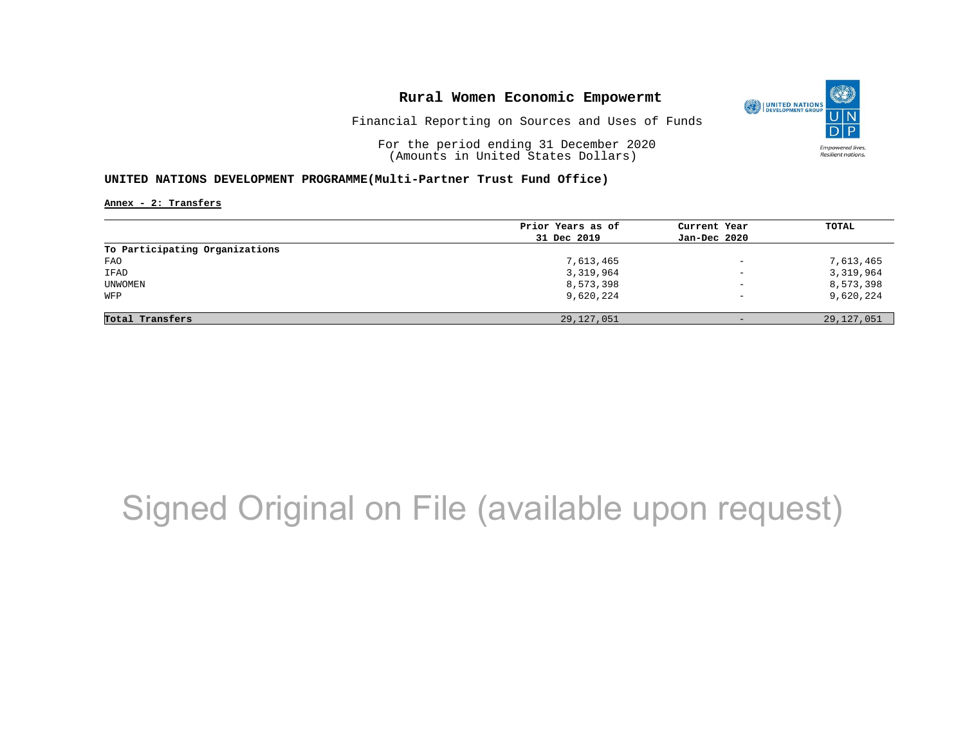

Financial Reporting on Sources and Uses of Funds

For the period ending 31 December 2020 (Amounts in United States Dollars)

#### **UNITED NATIONS DEVELOPMENT PROGRAMME(Multi-Partner Trust Fund Office)**

**Annex - 2: Transfers**

|                                | Prior Years as of | Current Year             | TOTAL        |
|--------------------------------|-------------------|--------------------------|--------------|
|                                | 31 Dec 2019       | Jan-Dec 2020             |              |
| To Participating Organizations |                   |                          |              |
| FAO                            | 7,613,465         | $\overline{\phantom{m}}$ | 7,613,465    |
| IFAD                           | 3,319,964         | $\qquad \qquad -$        | 3,319,964    |
| UNWOMEN                        | 8,573,398         | $\overline{\phantom{m}}$ | 8,573,398    |
| WFP                            | 9,620,224         | $\overline{\phantom{a}}$ | 9,620,224    |
|                                |                   |                          |              |
| Total Transfers                | 29,127,051        | $-$                      | 29, 127, 051 |

## Signed Original on File (available upon request)